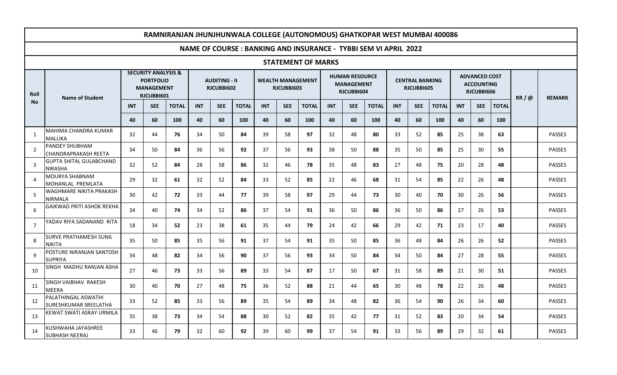|                | RAMNIRANJAN JHUNJHUNWALA COLLEGE (AUTONOMOUS) GHATKOPAR WEST MUMBAI 400086 |                                                                                       |            |              |            |                                    |                                                                        |            |                                        |                           |            |                                                          |              |                                      |            |              |            |                                                         |              |      |               |
|----------------|----------------------------------------------------------------------------|---------------------------------------------------------------------------------------|------------|--------------|------------|------------------------------------|------------------------------------------------------------------------|------------|----------------------------------------|---------------------------|------------|----------------------------------------------------------|--------------|--------------------------------------|------------|--------------|------------|---------------------------------------------------------|--------------|------|---------------|
|                |                                                                            |                                                                                       |            |              |            |                                    | <b>NAME OF COURSE: BANKING AND INSURANCE - TYBBI SEM VI APRIL 2022</b> |            |                                        |                           |            |                                                          |              |                                      |            |              |            |                                                         |              |      |               |
|                |                                                                            |                                                                                       |            |              |            |                                    |                                                                        |            |                                        | <b>STATEMENT OF MARKS</b> |            |                                                          |              |                                      |            |              |            |                                                         |              |      |               |
| Roll           | <b>Name of Student</b>                                                     | <b>SECURITY ANALYSIS &amp;</b><br><b>PORTFOLIO</b><br><b>MANAGEMENT</b><br>RJCUBBI601 |            |              |            | <b>AUDITING - II</b><br>RJCUBBI602 |                                                                        |            | <b>WEALTH MANAGEMENT</b><br>RJCUBBI603 |                           |            | <b>HUMAN RESOURCE</b><br><b>MANAGEMENT</b><br>RJCUBBI604 |              | <b>CENTRAL BANKING</b><br>RJCUBBI605 |            |              |            | <b>ADVANCED COST</b><br><b>ACCOUNTING</b><br>RJCUBBI606 |              | RR/@ | <b>REMARK</b> |
| <b>No</b>      |                                                                            | <b>INT</b>                                                                            | <b>SEE</b> | <b>TOTAL</b> | <b>INT</b> | <b>SEE</b>                         | <b>TOTAL</b>                                                           | <b>INT</b> | <b>SEE</b>                             | <b>TOTAL</b>              | <b>INT</b> | <b>SEE</b>                                               | <b>TOTAL</b> | <b>INT</b>                           | <b>SEE</b> | <b>TOTAL</b> | <b>INT</b> | <b>SEE</b>                                              | <b>TOTAL</b> |      |               |
|                |                                                                            | 40                                                                                    | 60         | 100          | 40         | 60                                 | 100                                                                    | 40         | 60                                     | 100                       | 40         | 60                                                       | 100          | 40                                   | 60         | 100          | 40         | 60                                                      | 100          |      |               |
| 1              | MAHIMA CHANDRA KUMAR<br><b>MALLIKA</b>                                     | 32                                                                                    | 44         | 76           | 34         | 50                                 | 84                                                                     | 39         | 58                                     | 97                        | 32         | 48                                                       | 80           | 33                                   | 52         | 85           | 25         | 38                                                      | 63           |      | PASSES        |
| $\overline{2}$ | <b>PANDEY SHUBHAM</b><br><b>CHANDRAPRAKASH REETA</b>                       | 34                                                                                    | 50         | 84           | 36         | 56                                 | 92                                                                     | 37         | 56                                     | 93                        | 38         | 50                                                       | 88           | 35                                   | 50         | 85           | 25         | 30                                                      | 55           |      | <b>PASSES</b> |
| 3              | <b>GUPTA SHITAL GULABCHAND</b><br><b>NIRASHA</b>                           | 32                                                                                    | 52         | 84           | 28         | 58                                 | 86                                                                     | 32         | 46                                     | 78                        | 35         | 48                                                       | 83           | 27                                   | 48         | 75           | 20         | 28                                                      | 48           |      | <b>PASSES</b> |
| 4              | MOURYA SHABNAM<br>MOHANLAL PREMLATA                                        | 29                                                                                    | 32         | 61           | 32         | 52                                 | 84                                                                     | 33         | 52                                     | 85                        | 22         | 46                                                       | 68           | 31                                   | 54         | 85           | 22         | 26                                                      | 48           |      | <b>PASSES</b> |
| -5             | WAGHMARE NIKITA PRAKASH<br><b>NIRMALA</b>                                  | 30                                                                                    | 42         | 72           | 33         | 44                                 | 77                                                                     | 39         | 58                                     | 97                        | 29         | 44                                                       | 73           | 30                                   | 40         | 70           | 30         | 26                                                      | 56           |      | <b>PASSES</b> |
| 6              | GAIKWAD PRITI ASHOK REKHA                                                  | 34                                                                                    | 40         | 74           | 34         | 52                                 | 86                                                                     | 37         | 54                                     | 91                        | 36         | 50                                                       | 86           | 36                                   | 50         | 86           | 27         | 26                                                      | 53           |      | PASSES        |
| 7              | YADAV RIYA SADANAND RITA                                                   | 18                                                                                    | 34         | 52           | 23         | 38                                 | 61                                                                     | 35         | 44                                     | 79                        | 24         | 42                                                       | 66           | 29                                   | 42         | 71           | 23         | 17                                                      | 40           |      | <b>PASSES</b> |
| 8              | <b>SURVE PRATHAMESH SUNIL</b><br><b>NIKITA</b>                             | 35                                                                                    | 50         | 85           | 35         | 56                                 | 91                                                                     | 37         | 54                                     | 91                        | 35         | 50                                                       | 85           | 36                                   | 48         | 84           | 26         | 26                                                      | 52           |      | <b>PASSES</b> |
| 9              | POSTURE NIRANJAN SANTOSH<br><b>SUPRIYA</b>                                 | 34                                                                                    | 48         | 82           | 34         | 56                                 | 90                                                                     | 37         | 56                                     | 93                        | 34         | 50                                                       | 84           | 34                                   | 50         | 84           | 27         | 28                                                      | 55           |      | <b>PASSES</b> |
| 10             | SINGH MADHU RANJAN ASHA                                                    | 27                                                                                    | 46         | 73           | 33         | 56                                 | 89                                                                     | 33         | 54                                     | 87                        | 17         | 50                                                       | 67           | 31                                   | 58         | 89           | 21         | 30                                                      | 51           |      | <b>PASSES</b> |
| 11             | SINGH VAIBHAV RAKESH<br>MEERA                                              | 30                                                                                    | 40         | 70           | 27         | 48                                 | 75                                                                     | 36         | 52                                     | 88                        | 21         | 44                                                       | 65           | 30                                   | 48         | 78           | 22         | 26                                                      | 48           |      | <b>PASSES</b> |
| 12             | PALATHINGAL ASWATHI<br><b>SURESHKUMAR SREELATHA</b>                        | 33                                                                                    | 52         | 85           | 33         | 56                                 | 89                                                                     | 35         | 54                                     | 89                        | 34         | 48                                                       | 82           | 36                                   | 54         | 90           | 26         | 34                                                      | 60           |      | <b>PASSES</b> |
| 13             | KEWAT SWATI ASRAY URMILA                                                   | 35                                                                                    | 38         | 73           | 34         | 54                                 | 88                                                                     | 30         | 52                                     | 82                        | 35         | 42                                                       | 77           | 31                                   | 52         | 83           | 20         | 34                                                      | 54           |      | <b>PASSES</b> |
| 14             | KUSHWAHA JAYASHREE<br><b>SUBHASH NEERAJ</b>                                | 33                                                                                    | 46         | 79           | 32         | 60                                 | 92                                                                     | 39         | 60                                     | 99                        | 37         | 54                                                       | 91           | 33                                   | 56         | 89           | 29         | 32                                                      | 61           |      | <b>PASSES</b> |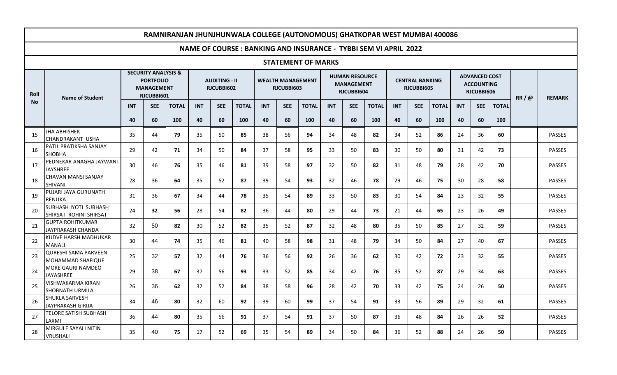| RAMNIRANJAN JHUNJHUNWALA COLLEGE (AUTONOMOUS) GHATKOPAR WEST MUMBAI 400086 |                                                        |                                                                                       |                 |              |                                    |            |                                                                        |            |                                        |                           |                                                          |            |              |            |                                      |              |            |                                                         |              |      |               |
|----------------------------------------------------------------------------|--------------------------------------------------------|---------------------------------------------------------------------------------------|-----------------|--------------|------------------------------------|------------|------------------------------------------------------------------------|------------|----------------------------------------|---------------------------|----------------------------------------------------------|------------|--------------|------------|--------------------------------------|--------------|------------|---------------------------------------------------------|--------------|------|---------------|
|                                                                            |                                                        |                                                                                       |                 |              |                                    |            | <b>NAME OF COURSE: BANKING AND INSURANCE - TYBBI SEM VI APRIL 2022</b> |            |                                        |                           |                                                          |            |              |            |                                      |              |            |                                                         |              |      |               |
|                                                                            |                                                        |                                                                                       |                 |              |                                    |            |                                                                        |            |                                        | <b>STATEMENT OF MARKS</b> |                                                          |            |              |            |                                      |              |            |                                                         |              |      |               |
| Roll                                                                       | <b>Name of Student</b>                                 | <b>SECURITY ANALYSIS &amp;</b><br><b>PORTFOLIO</b><br><b>MANAGEMENT</b><br>RJCUBBI601 |                 |              | <b>AUDITING - II</b><br>RJCUBBI602 |            |                                                                        |            | <b>WEALTH MANAGEMENT</b><br>RJCUBBI603 |                           | <b>HUMAN RESOURCE</b><br><b>MANAGEMENT</b><br>RJCUBBI604 |            |              |            | <b>CENTRAL BANKING</b><br>RJCUBBI605 |              |            | <b>ADVANCED COST</b><br><b>ACCOUNTING</b><br>RJCUBBI606 |              | RR/@ | <b>REMARK</b> |
| <b>No</b>                                                                  |                                                        | <b>INT</b>                                                                            | <b>SEE</b>      | <b>TOTAL</b> | <b>INT</b>                         | <b>SEE</b> | <b>TOTAL</b>                                                           | <b>INT</b> | <b>SEE</b>                             | <b>TOTAL</b>              | <b>INT</b>                                               | <b>SEE</b> | <b>TOTAL</b> | <b>INT</b> | <b>SEE</b>                           | <b>TOTAL</b> | <b>INT</b> | <b>SEE</b>                                              | <b>TOTAL</b> |      |               |
|                                                                            |                                                        | 40                                                                                    | 60              | 100          | 40                                 | 60         | 100                                                                    | 40         | 60                                     | 100                       | 40                                                       | 60         | 100          | 40         | 60                                   | 100          | 40         | 60                                                      | 100          |      |               |
| 15                                                                         | <b>JHA ABHISHEK</b><br><b>CHANDRAKANT USHA</b>         | 35                                                                                    | 44              | 79           | 35                                 | 50         | 85                                                                     | 38         | 56                                     | 94                        | 34                                                       | 48         | 82           | 34         | 52                                   | 86           | 24         | 36                                                      | 60           |      | <b>PASSES</b> |
| 16                                                                         | IPATIL PRATIKSHA SANJAY<br><b>SHOBHA</b>               | 29                                                                                    | 42              | 71           | 34                                 | 50         | 84                                                                     | 37         | 58                                     | 95                        | 33                                                       | 50         | 83           | 30         | 50                                   | 80           | 31         | 42                                                      | 73           |      | <b>PASSES</b> |
| 17                                                                         | PEDNEKAR ANAGHA JAYWANT<br>JAYSHREE                    | 30                                                                                    | 46              | 76           | 35                                 | 46         | 81                                                                     | 39         | 58                                     | 97                        | 32                                                       | 50         | 82           | 31         | 48                                   | 79           | 28         | 42                                                      | 70           |      | <b>PASSES</b> |
| 18                                                                         | CHAVAN MANSI SANJAY<br><b>SHIVANI</b>                  | 28                                                                                    | 36              | 64           | 35                                 | 52         | 87                                                                     | 39         | 54                                     | 93                        | 32                                                       | 46         | 78           | 29         | 46                                   | 75           | 30         | 28                                                      | 58           |      | <b>PASSES</b> |
| 19                                                                         | PUJARI JAYA GURUNATH<br><b>RENUKA</b>                  | 31                                                                                    | 36              | 67           | 34                                 | 44         | 78                                                                     | 35         | 54                                     | 89                        | 33                                                       | 50         | 83           | 30         | 54                                   | 84           | 23         | 32                                                      | 55           |      | <b>PASSES</b> |
| 20                                                                         | <b>SUBHASH JYOTI SUBHASH</b><br>SHIRSAT ROHINI SHIRSAT | 24                                                                                    | 32 <sub>2</sub> | 56           | 28                                 | 54         | 82                                                                     | 36         | 44                                     | 80                        | 29                                                       | 44         | 73           | 21         | 44                                   | 65           | 23         | 26                                                      | 49           |      | PASSES        |
| 21                                                                         | <b>GUPTA ROHITKUMAR</b><br>JAYPRAKASH CHANDA           | 32                                                                                    | 50              | 82           | 30                                 | 52         | 82                                                                     | 35         | 52                                     | 87                        | 32                                                       | 48         | 80           | 35         | 50                                   | 85           | 27         | 32                                                      | 59           |      | PASSES        |
| 22                                                                         | KUDVE HARSH MADHUKAR<br><b>MANALI</b>                  | 30                                                                                    | 44              | 74           | 35                                 | 46         | 81                                                                     | 40         | 58                                     | 98                        | 31                                                       | 48         | 79           | 34         | 50                                   | 84           | 27         | 40                                                      | 67           |      | <b>PASSES</b> |
| 23                                                                         | QURESHI SAMA PARVEEN<br>MOHAMMAD SHAFIQUE              | 25                                                                                    | 32              | 57           | 32                                 | 44         | 76                                                                     | 36         | 56                                     | 92                        | 26                                                       | 36         | 62           | 30         | 42                                   | 72           | 23         | 32                                                      | 55           |      | PASSES        |
| 24                                                                         | MORE GAURI NAMDEO<br><b>JAYASHREE</b>                  | 29                                                                                    | 38              | 67           | 37                                 | 56         | 93                                                                     | 33         | 52                                     | 85                        | 34                                                       | 42         | 76           | 35         | 52                                   | 87           | 29         | 34                                                      | 63           |      | <b>PASSES</b> |
| 25                                                                         | <b>VISHWAKARMA KIRAN</b><br>SHOBNATH URMILA            | 26                                                                                    | 36              | 62           | 32                                 | 52         | 84                                                                     | 38         | 58                                     | 96                        | 28                                                       | 42         | 70           | 33         | 42                                   | 75           | 24         | 26                                                      | 50           |      | <b>PASSES</b> |
| 26                                                                         | <b>SHUKLA SARVESH</b><br>JAYPRAKASH GIRIJA             | 34                                                                                    | 46              | 80           | 32                                 | 60         | 92                                                                     | 39         | 60                                     | 99                        | 37                                                       | 54         | 91           | 33         | 56                                   | 89           | 29         | 32                                                      | 61           |      | <b>PASSES</b> |
| 27                                                                         | <b>TELORE SATISH SUBHASH</b><br>LAXMI                  | 36                                                                                    | 44              | 80           | 35                                 | 56         | 91                                                                     | 37         | 54                                     | 91                        | 37                                                       | 50         | 87           | 36         | 48                                   | 84           | 26         | 26                                                      | 52           |      | <b>PASSES</b> |
| 28                                                                         | MIRGULE SAYALI NITIN<br>VRUSHALI                       | 35                                                                                    | 40              | 75           | 17                                 | 52         | 69                                                                     | 35         | 54                                     | 89                        | 34                                                       | 50         | 84           | 36         | 52                                   | 88           | 24         | 26                                                      | 50           |      | <b>PASSES</b> |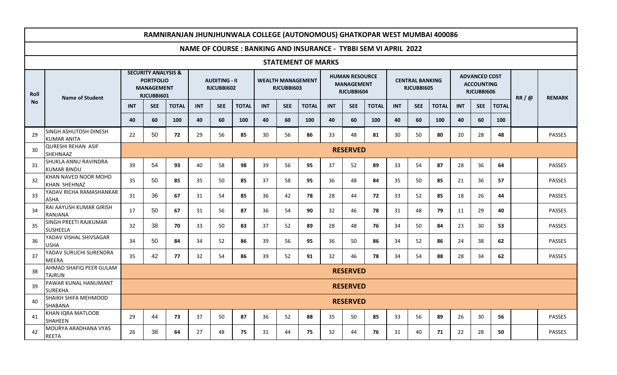|           | RAMNIRANJAN JHUNJHUNWALA COLLEGE (AUTONOMOUS) GHATKOPAR WEST MUMBAI 400086 |                                                                                       |            |              |            |                                    |              |            |            |                           |            |                                                          |              |            |                                      |              |            |                                                         |              |      |               |
|-----------|----------------------------------------------------------------------------|---------------------------------------------------------------------------------------|------------|--------------|------------|------------------------------------|--------------|------------|------------|---------------------------|------------|----------------------------------------------------------|--------------|------------|--------------------------------------|--------------|------------|---------------------------------------------------------|--------------|------|---------------|
|           | NAME OF COURSE: BANKING AND INSURANCE - TYBBI SEM VI APRIL 2022            |                                                                                       |            |              |            |                                    |              |            |            |                           |            |                                                          |              |            |                                      |              |            |                                                         |              |      |               |
|           |                                                                            |                                                                                       |            |              |            |                                    |              |            |            | <b>STATEMENT OF MARKS</b> |            |                                                          |              |            |                                      |              |            |                                                         |              |      |               |
| Roll      | <b>Name of Student</b>                                                     | <b>SECURITY ANALYSIS &amp;</b><br><b>PORTFOLIO</b><br><b>MANAGEMENT</b><br>RJCUBBI601 |            |              |            | <b>AUDITING - II</b><br>RJCUBBI602 |              |            | RJCUBBI603 | <b>WEALTH MANAGEMENT</b>  |            | <b>HUMAN RESOURCE</b><br><b>MANAGEMENT</b><br>RJCUBBI604 |              |            | <b>CENTRAL BANKING</b><br>RJCUBBI605 |              |            | <b>ADVANCED COST</b><br><b>ACCOUNTING</b><br>RJCUBBI606 |              | RR/@ | <b>REMARK</b> |
| <b>No</b> |                                                                            | <b>INT</b>                                                                            | <b>SEE</b> | <b>TOTAL</b> | <b>INT</b> | <b>SEE</b>                         | <b>TOTAL</b> | <b>INT</b> | <b>SEE</b> | <b>TOTAL</b>              | <b>INT</b> | <b>SEE</b>                                               | <b>TOTAL</b> | <b>INT</b> | <b>SEE</b>                           | <b>TOTAL</b> | <b>INT</b> | <b>SEE</b>                                              | <b>TOTAL</b> |      |               |
|           |                                                                            | 40                                                                                    | 60         | 100          | 40         | 60                                 | 100          | 40         | 60         | 100                       | 40         | 60                                                       | 100          | 40         | 60                                   | 100          | 40         | 60                                                      | 100          |      |               |
| 29        | SINGH ASHUTOSH DINESH<br><b>KUMAR ANITA</b>                                | 22                                                                                    | 50         | 72           | 29         | 56                                 | 85           | 30         | 56         | 86                        | 33         | 48                                                       | 81           | 30         | 50                                   | 80           | 20         | 28                                                      | 48           |      | PASSES        |
| 30        | <b>QURESHI REHAN ASIF</b><br><b>SHEHNAAZ</b>                               | <b>RESERVED</b>                                                                       |            |              |            |                                    |              |            |            |                           |            |                                                          |              |            |                                      |              |            |                                                         |              |      |               |
| 31        | <b>SHUKLA ANNU RAVINDRA</b><br><b>KUMAR BINDU</b>                          | 39                                                                                    | 54         | 93           | 40         | 58                                 | 98           | 39         | 56         | 95                        | 37         | 52                                                       | 89           | 33         | 54                                   | 87           | 28         | 36                                                      | 64           |      | <b>PASSES</b> |
| 32        | KHAN NAVED NOOR MOHD<br>KHAN SHEHNAZ                                       | 35                                                                                    | 50         | 85           | 35         | 50                                 | 85           | 37         | 58         | 95                        | 36         | 48                                                       | 84           | 35         | 50                                   | 85           | 21         | 36                                                      | 57           |      | <b>PASSES</b> |
| 33        | YADAV RICHA RAMASHANKAR<br><b>ASHA</b>                                     | 31                                                                                    | 36         | 67           | 31         | 54                                 | 85           | 36         | 42         | 78                        | 28         | 44                                                       | 72           | 33         | 52                                   | 85           | 18         | 26                                                      | 44           |      | PASSES        |
| 34        | RAI AAYUSH KUMAR GIRISH<br>RANJANA                                         | 17                                                                                    | 50         | 67           | 31         | 56                                 | 87           | 36         | 54         | 90                        | 32         | 46                                                       | 78           | 31         | 48                                   | 79           | 11         | 29                                                      | 40           |      | <b>PASSES</b> |
| 35        | SINGH PREETI RAJKUMAR<br><b>SUSHEELA</b>                                   | 32                                                                                    | 38         | 70           | 33         | 50                                 | 83           | 37         | 52         | 89                        | 28         | 48                                                       | 76           | 34         | 50                                   | 84           | 23         | 30                                                      | 53           |      | <b>PASSES</b> |
| 36        | YADAV VISHAL SHIVSAGAR<br><b>USHA</b>                                      | 34                                                                                    | 50         | 84           | 34         | 52                                 | 86           | 39         | 56         | 95                        | 36         | 50                                                       | 86           | 34         | 52                                   | 86           | 24         | 38                                                      | 62           |      | <b>PASSES</b> |
| 37        | YADAV SURUCHI SURENDRA<br>MEERA                                            | 35                                                                                    | 42         | 77           | 32         | 54                                 | 86           | 39         | 52         | 91                        | 32         | 46                                                       | 78           | 34         | 54                                   | 88           | 28         | 34                                                      | 62           |      | <b>PASSES</b> |
| 38        | AHMAD SHAFIQ PEER GULAM<br><b>TAJRUN</b>                                   |                                                                                       |            |              |            |                                    |              |            |            |                           |            | <b>RESERVED</b>                                          |              |            |                                      |              |            |                                                         |              |      |               |
| 39        | PAWAR KUNAL HANUMANT<br><b>SUREKHA</b>                                     |                                                                                       |            |              |            |                                    |              |            |            |                           |            | <b>RESERVED</b>                                          |              |            |                                      |              |            |                                                         |              |      |               |
| 40        | <b>SHAIKH SHIFA MEHMOOD</b><br><b>SHABANA</b>                              |                                                                                       |            |              |            |                                    |              |            |            |                           |            | <b>RESERVED</b>                                          |              |            |                                      |              |            |                                                         |              |      |               |
| 41        | KHAN IQRA MATLOOB<br><b>SHAHEEN</b>                                        | 29                                                                                    | 44         | 73           | 37         | 50                                 | 87           | 36         | 52         | 88                        | 35         | 50                                                       | 85           | 33         | 56                                   | 89           | 26         | 30                                                      | 56           |      | <b>PASSES</b> |
| 42        | MOURYA ARADHANA VYAS<br><b>REETA</b>                                       | 26                                                                                    | 38         | 64           | 27         | 48                                 | 75           | 31         | 44         | 75                        | 32         | 44                                                       | 76           | 31         | 40                                   | 71           | 22         | 28                                                      | 50           |      | PASSES        |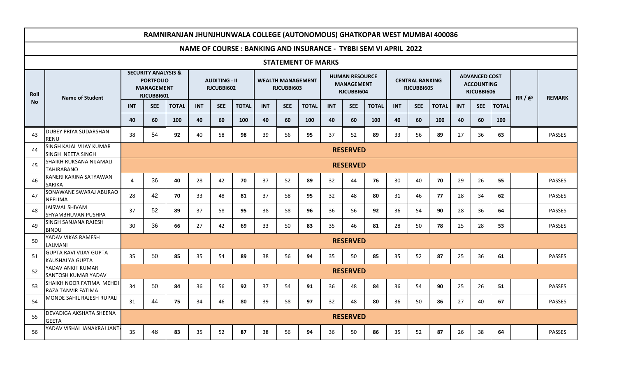|           | RAMNIRANJAN JHUNJHUNWALA COLLEGE (AUTONOMOUS) GHATKOPAR WEST MUMBAI 400086 |                                                                                       |                 |              |                                    |            |              |                                        |            |                           |                                                          |                 |              |            |                                      |              |            |                                                         |              |      |               |
|-----------|----------------------------------------------------------------------------|---------------------------------------------------------------------------------------|-----------------|--------------|------------------------------------|------------|--------------|----------------------------------------|------------|---------------------------|----------------------------------------------------------|-----------------|--------------|------------|--------------------------------------|--------------|------------|---------------------------------------------------------|--------------|------|---------------|
|           | NAME OF COURSE: BANKING AND INSURANCE - TYBBI SEM VI APRIL 2022            |                                                                                       |                 |              |                                    |            |              |                                        |            |                           |                                                          |                 |              |            |                                      |              |            |                                                         |              |      |               |
|           |                                                                            |                                                                                       |                 |              |                                    |            |              |                                        |            | <b>STATEMENT OF MARKS</b> |                                                          |                 |              |            |                                      |              |            |                                                         |              |      |               |
| Roll      | <b>Name of Student</b>                                                     | <b>SECURITY ANALYSIS &amp;</b><br><b>PORTFOLIO</b><br><b>MANAGEMENT</b><br>RJCUBBI601 |                 |              | <b>AUDITING - II</b><br>RJCUBBI602 |            |              | <b>WEALTH MANAGEMENT</b><br>RJCUBBI603 |            |                           | <b>HUMAN RESOURCE</b><br><b>MANAGEMENT</b><br>RJCUBBI604 |                 |              |            | <b>CENTRAL BANKING</b><br>RJCUBBI605 |              |            | <b>ADVANCED COST</b><br><b>ACCOUNTING</b><br>RJCUBBI606 |              | RR/@ | <b>REMARK</b> |
| <b>No</b> |                                                                            | <b>INT</b>                                                                            | <b>SEE</b>      | <b>TOTAL</b> | <b>INT</b>                         | <b>SEE</b> | <b>TOTAL</b> | <b>INT</b>                             | <b>SEE</b> | <b>TOTAL</b>              | <b>INT</b>                                               | <b>SEE</b>      | <b>TOTAL</b> | <b>INT</b> | <b>SEE</b>                           | <b>TOTAL</b> | <b>INT</b> | <b>SEE</b>                                              | <b>TOTAL</b> |      |               |
|           |                                                                            | 40                                                                                    | 60              | 100          | 40                                 | 60         | 100          | 40                                     | 60         | 100                       | 40                                                       | 60              | 100          | 40         | 60                                   | 100          | 40         | 60                                                      | 100          |      |               |
| 43        | <b>DUBEY PRIYA SUDARSHAN</b><br>RENU                                       | 38                                                                                    | 54              | 92           | 40                                 | 58         | 98           | 39                                     | 56         | 95                        | 37                                                       | 52              | 89           | 33         | 56                                   | 89           | 27         | 36                                                      | 63           |      | PASSES        |
| 44        | <b>SINGH KAJAL VIJAY KUMAR</b><br>SINGH NEETA SINGH                        |                                                                                       | <b>RESERVED</b> |              |                                    |            |              |                                        |            |                           |                                                          |                 |              |            |                                      |              |            |                                                         |              |      |               |
| 45        | <b>SHAIKH RUKSANA NIJAMALI</b><br><b>TAHIRABANO</b>                        |                                                                                       | <b>RESERVED</b> |              |                                    |            |              |                                        |            |                           |                                                          |                 |              |            |                                      |              |            |                                                         |              |      |               |
| 46        | KANERI KARINA SATYAWAN<br><b>SARIKA</b>                                    | 4                                                                                     | 36              | 40           | 28                                 | 42         | 70           | 37                                     | 52         | 89                        | 32                                                       | 44              | 76           | 30         | 40                                   | 70           | 29         | 26                                                      | 55           |      | <b>PASSES</b> |
| 47        | SONAWANE SWARAJ ABURAO<br><b>NEELIMA</b>                                   | 28                                                                                    | 42              | 70           | 33                                 | 48         | 81           | 37                                     | 58         | 95                        | 32                                                       | 48              | 80           | 31         | 46                                   | 77           | 28         | 34                                                      | 62           |      | <b>PASSES</b> |
| 48        | JAISWAL SHIVAM<br>ISHYAMBHUVAN PUSHPA                                      | 37                                                                                    | 52              | 89           | 37                                 | 58         | 95           | 38                                     | 58         | 96                        | 36                                                       | 56              | 92           | 36         | 54                                   | 90           | 28         | 36                                                      | 64           |      | <b>PASSES</b> |
| 49        | SINGH SANJANA RAJESH<br><b>BINDU</b>                                       | 30                                                                                    | 36              | 66           | 27                                 | 42         | 69           | 33                                     | 50         | 83                        | 35                                                       | 46              | 81           | 28         | 50                                   | 78           | 25         | 28                                                      | 53           |      | PASSES        |
| 50        | YADAV VIKAS RAMESH<br><b>LALMANI</b>                                       |                                                                                       |                 |              |                                    |            |              |                                        |            |                           |                                                          | <b>RESERVED</b> |              |            |                                      |              |            |                                                         |              |      |               |
| 51        | <b>GUPTA RAVI VIJAY GUPTA</b><br><b>KAUSHALYA GUPTA</b>                    | 35                                                                                    | 50              | 85           | 35                                 | 54         | 89           | 38                                     | 56         | 94                        | 35                                                       | 50              | 85           | 35         | 52                                   | 87           | 25         | 36                                                      | 61           |      | <b>PASSES</b> |
| 52        | YADAV ANKIT KUMAR<br>SANTOSH KUMAR YADAV                                   |                                                                                       |                 |              |                                    |            |              |                                        |            |                           |                                                          | <b>RESERVED</b> |              |            |                                      |              |            |                                                         |              |      |               |
| 53        | SHAIKH NOOR FATIMA MEHDI<br>RAZA TANVIR FATIMA                             | 34                                                                                    | 50              | 84           | 36                                 | 56         | 92           | 37                                     | 54         | 91                        | 36                                                       | 48              | 84           | 36         | 54                                   | 90           | 25         | 26                                                      | 51           |      | <b>PASSES</b> |
| 54        | MONDE SAHIL RAJESH RUPALI                                                  | 31                                                                                    | 44              | 75           | 34                                 | 46         | 80           | 39                                     | 58         | 97                        | 32                                                       | 48              | 80           | 36         | 50                                   | 86           | 27         | 40                                                      | 67           |      | <b>PASSES</b> |
| 55        | <b>DEVADIGA AKSHATA SHEENA</b><br><b>GEETA</b>                             |                                                                                       |                 |              |                                    |            |              |                                        |            |                           |                                                          | <b>RESERVED</b> |              |            |                                      |              |            |                                                         |              |      |               |
| 56        | YADAV VISHAL JANAKRAJ JANT                                                 | 35                                                                                    | 48              | 83           | 35                                 | 52         | 87           | 38                                     | 56         | 94                        | 36                                                       | 50              | 86           | 35         | 52                                   | 87           | 26         | 38                                                      | 64           |      | <b>PASSES</b> |